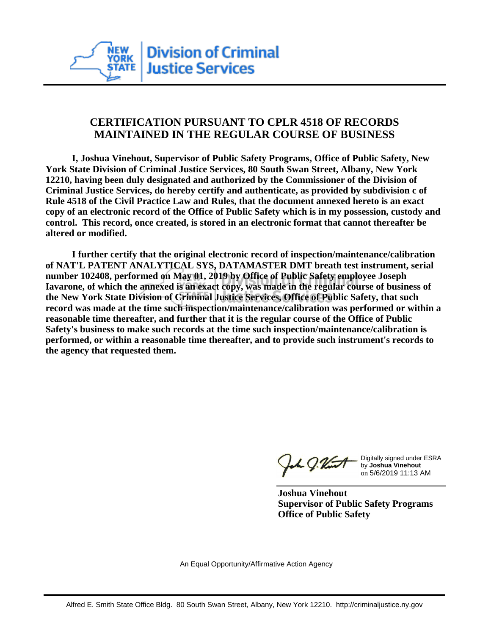

## **CERTIFICATION PURSUANT TO CPLR 4518 OF RECORDS MAINTAINED IN THE REGULAR COURSE OF BUSINESS**

 **I, Joshua Vinehout, Supervisor of Public Safety Programs, Office of Public Safety, New York State Division of Criminal Justice Services, 80 South Swan Street, Albany, New York 12210, having been duly designated and authorized by the Commissioner of the Division of Criminal Justice Services, do hereby certify and authenticate, as provided by subdivision c of Rule 4518 of the Civil Practice Law and Rules, that the document annexed hereto is an exact copy of an electronic record of the Office of Public Safety which is in my possession, custody and control. This record, once created, is stored in an electronic format that cannot thereafter be altered or modified.**

 **I further certify that the original electronic record of inspection/maintenance/calibration of NAT'L PATENT ANALYTICAL SYS, DATAMASTER DMT breath test instrument, serial number 102408, performed on May 01, 2019 by Office of Public Safety employee Joseph Iavarone, of which the annexed is an exact copy, was made in the regular course of business of the New York State Division of Criminal Justice Services, Office of Public Safety, that such record was made at the time such inspection/maintenance/calibration was performed or within a reasonable time thereafter, and further that it is the regular course of the Office of Public Safety's business to make such records at the time such inspection/maintenance/calibration is performed, or within a reasonable time thereafter, and to provide such instrument's records to the agency that requested them.**

h J.Vint

Digitally signed under ESRA by **Joshua Vinehout** on 5/6/2019 11:13 AM

**Joshua Vinehout Supervisor of Public Safety Programs Office of Public Safety**

An Equal Opportunity/Affirmative Action Agency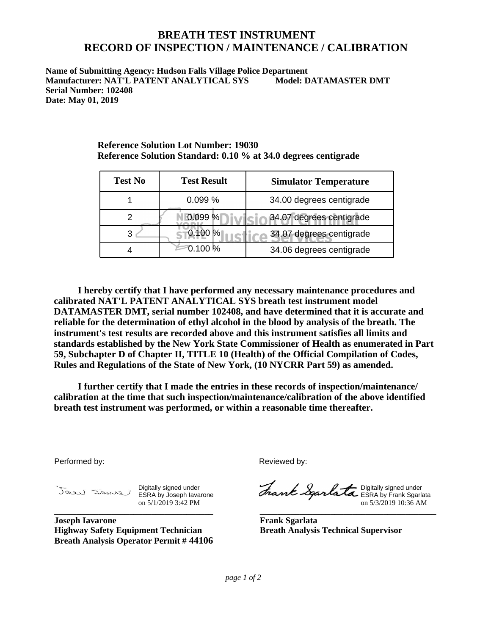## **BREATH TEST INSTRUMENT RECORD OF INSPECTION / MAINTENANCE / CALIBRATION**

**Name of Submitting Agency: Hudson Falls Village Police Department Manufacturer: NAT'L PATENT ANALYTICAL SYS Model: DATAMASTER DMT Serial Number: 102408 Date: May 01, 2019**

| <b>Test No</b> | <b>Test Result</b> | <b>Simulator Temperature</b> |
|----------------|--------------------|------------------------------|
|                | 0.099%             | 34.00 degrees centigrade     |
|                | 0.099%             | 34.07 degrees centigrade     |
|                | 0.100 %            | 34.07 degrees centigrade     |
|                | 0.100 %            | 34.06 degrees centigrade     |

**Reference Solution Lot Number: 19030 Reference Solution Standard: 0.10 % at 34.0 degrees centigrade**

 **I hereby certify that I have performed any necessary maintenance procedures and calibrated NAT'L PATENT ANALYTICAL SYS breath test instrument model DATAMASTER DMT, serial number 102408, and have determined that it is accurate and reliable for the determination of ethyl alcohol in the blood by analysis of the breath. The instrument's test results are recorded above and this instrument satisfies all limits and standards established by the New York State Commissioner of Health as enumerated in Part 59, Subchapter D of Chapter II, TITLE 10 (Health) of the Official Compilation of Codes, Rules and Regulations of the State of New York, (10 NYCRR Part 59) as amended.**

 **I further certify that I made the entries in these records of inspection/maintenance/ calibration at the time that such inspection/maintenance/calibration of the above identified breath test instrument was performed, or within a reasonable time thereafter.**

Performed by:

Digitally signed under ESRA by Joseph Iavarone on 5/1/2019 3:42 PM **\_\_\_\_\_\_\_\_\_\_\_\_\_\_\_\_\_\_\_\_\_\_\_\_\_\_\_\_\_\_\_\_\_\_\_\_**

**Joseph Iavarone Highway Safety Equipment Technician Breath Analysis Operator Permit # 44106** Reviewed by:

Digitally signed under ESRA by Frank Sgarlata on 5/3/2019 10:36 AM

**\_\_\_\_\_\_\_\_\_\_\_\_\_\_\_\_\_\_\_\_\_\_\_\_\_\_\_\_\_\_\_\_\_\_\_\_\_\_\_\_**

**Frank Sgarlata Breath Analysis Technical Supervisor**